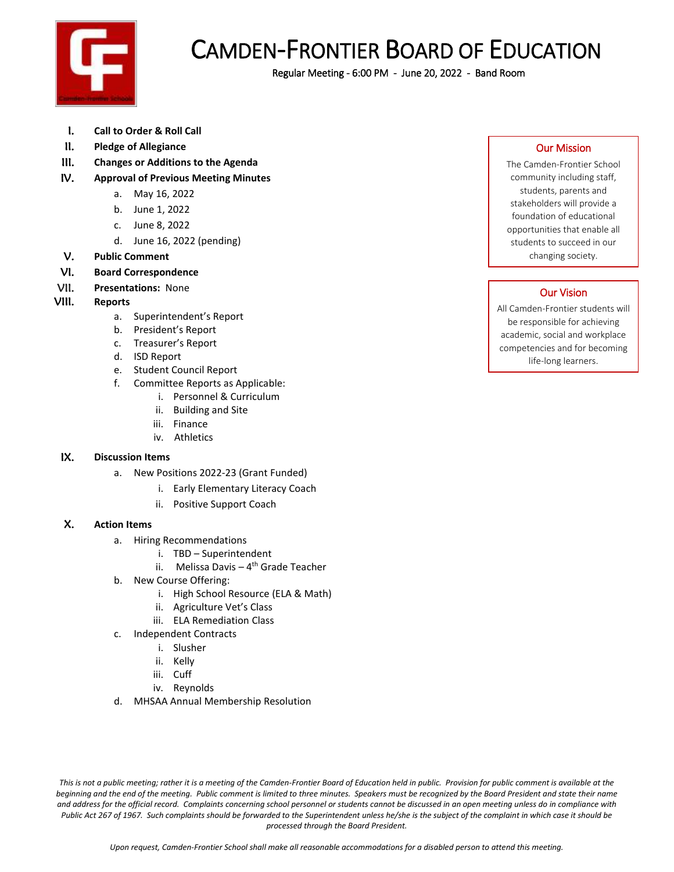

## CAMDEN-FRONTIER BOARD OF EDUCATION

Regular Meeting - 6:00 PM - June 20, 2022 - Band Room

- I. **Call to Order & Roll Call**
- II. **Pledge of Allegiance**
- III. **Changes or Additions to the Agenda**
- IV. **Approval of Previous Meeting Minutes**
	- a. May 16, 2022
	- b. June 1, 2022
	- c. June 8, 2022
	- d. June 16, 2022 (pending)
- V. **Public Comment**
- VI. **Board Correspondence**
- VII. **Presentations:** None
- VIII. **Reports**
	- a. Superintendent's Report
	- b. President's Report
	- c. Treasurer's Report
	- d. ISD Report
	- e. Student Council Report
	- f. Committee Reports as Applicable:
		- i. Personnel & Curriculum
		- ii. Building and Site
		- iii. Finance
		- iv. Athletics

## IX. **Discussion Items**

- a. New Positions 2022-23 (Grant Funded)
	- i. Early Elementary Literacy Coach
	- ii. Positive Support Coach

## X. **Action Items**

- a. Hiring Recommendations
	- i. TBD Superintendent
	- ii. Melissa Davis 4<sup>th</sup> Grade Teacher
- b. New Course Offering:
	- i. High School Resource (ELA & Math)
	- ii. Agriculture Vet's Class
	- iii. ELA Remediation Class
- c. Independent Contracts
	- i. Slusher
	- ii. Kelly
	- iii. Cuff
	- iv. Reynolds
- d. MHSAA Annual Membership Resolution

Our Mission

The Camden-Frontier School community including staff, students, parents and stakeholders will provide a foundation of educational opportunities that enable all students to succeed in our changing society.

## Our Vision

All Camden-Frontier students will be responsible for achieving academic, social and workplace competencies and for becoming life-long learners.

*This is not a public meeting; rather it is a meeting of the Camden-Frontier Board of Education held in public. Provision for public comment is available at the*  beginning and the end of the meeting. Public comment is limited to three minutes. Speakers must be recognized by the Board President and state their name *and address for the official record. Complaints concerning school personnel or students cannot be discussed in an open meeting unless do in compliance with Public Act 267 of 1967. Such complaints should be forwarded to the Superintendent unless he/she is the subject of the complaint in which case it should be processed through the Board President.*